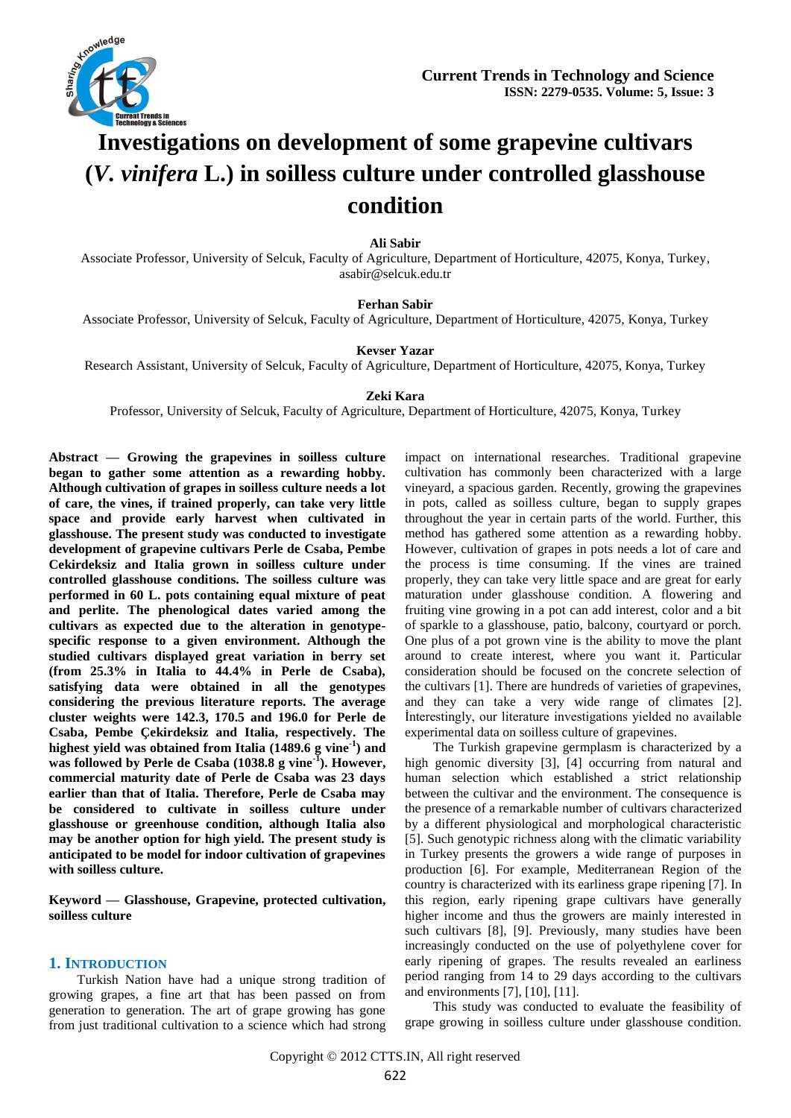

# **Investigations on development of some grapevine cultivars (***V. vinifera* **L.) in soilless culture under controlled glasshouse condition**

## **Ali Sabir**

Associate Professor, University of Selcuk, Faculty of Agriculture, Department of Horticulture, 42075, Konya, Turkey, asabir@selcuk.edu.tr

## **Ferhan Sabir**

Associate Professor, University of Selcuk, Faculty of Agriculture, Department of Horticulture, 42075, Konya, Turkey

#### **Kevser Yazar**

Research Assistant, University of Selcuk, Faculty of Agriculture, Department of Horticulture, 42075, Konya, Turkey

## **Zeki Kara**

Professor, University of Selcuk, Faculty of Agriculture, Department of Horticulture, 42075, Konya, Turkey

**Abstract — Growing the grapevines in soilless culture began to gather some attention as a rewarding hobby. Although cultivation of grapes in soilless culture needs a lot of care, the vines, if trained properly, can take very little space and provide early harvest when cultivated in glasshouse. The present study was conducted to investigate development of grapevine cultivars Perle de Csaba, Pembe Cekirdeksiz and Italia grown in soilless culture under controlled glasshouse conditions. The soilless culture was performed in 60 L. pots containing equal mixture of peat and perlite. The phenological dates varied among the cultivars as expected due to the alteration in genotypespecific response to a given environment. Although the studied cultivars displayed great variation in berry set (from 25.3% in Italia to 44.4% in Perle de Csaba), satisfying data were obtained in all the genotypes considering the previous literature reports. The average cluster weights were 142.3, 170.5 and 196.0 for Perle de Csaba, Pembe Çekirdeksiz and Italia, respectively. The highest yield was obtained from Italia (1489.6 g vine-1 ) and was followed by Perle de Csaba (1038.8 g vine-1 ). However, commercial maturity date of Perle de Csaba was 23 days earlier than that of Italia. Therefore, Perle de Csaba may be considered to cultivate in soilless culture under glasshouse or greenhouse condition, although Italia also may be another option for high yield. The present study is anticipated to be model for indoor cultivation of grapevines with soilless culture.**

**Keyword — Glasshouse, Grapevine, protected cultivation, soilless culture**

#### **1. INTRODUCTION**

Turkish Nation have had a unique strong tradition of growing grapes, a fine art that has been passed on from generation to generation. The art of grape growing has gone from just traditional cultivation to a science which had strong

impact on international researches. Traditional grapevine cultivation has commonly been characterized with a large vineyard, a spacious garden. Recently, growing the grapevines in pots, called as soilless culture, began to supply grapes throughout the year in certain parts of the world. Further, this method has gathered some attention as a rewarding hobby. However, cultivation of grapes in pots needs a lot of care and the process is time consuming. If the vines are trained properly, they can take very little space and are great for early maturation under glasshouse condition. A flowering and fruiting vine growing in a pot can add interest, color and a bit of sparkle to a glasshouse, patio, balcony, courtyard or porch. One plus of a pot grown vine is the ability to move the plant around to create interest, where you want it. Particular consideration should be focused on the concrete selection of the cultivars [1]. There are hundreds of varieties of grapevines, and they can take a very wide range of climates [2]. İnterestingly, our literature investigations yielded no available experimental data on soilless culture of grapevines.

The Turkish grapevine germplasm is characterized by a high genomic diversity [3], [4] occurring from natural and human selection which established a strict relationship between the cultivar and the environment. The consequence is the presence of a remarkable number of cultivars characterized by a different physiological and morphological characteristic [5]. Such genotypic richness along with the climatic variability in Turkey presents the growers a wide range of purposes in production [6]. For example, Mediterranean Region of the country is characterized with its earliness grape ripening [7]. In this region, early ripening grape cultivars have generally higher income and thus the growers are mainly interested in such cultivars [8], [9]. Previously, many studies have been increasingly conducted on the use of polyethylene cover for early ripening of grapes. The results revealed an earliness period ranging from 14 to 29 days according to the cultivars and environments [7], [10], [11].

This study was conducted to evaluate the feasibility of grape growing in soilless culture under glasshouse condition.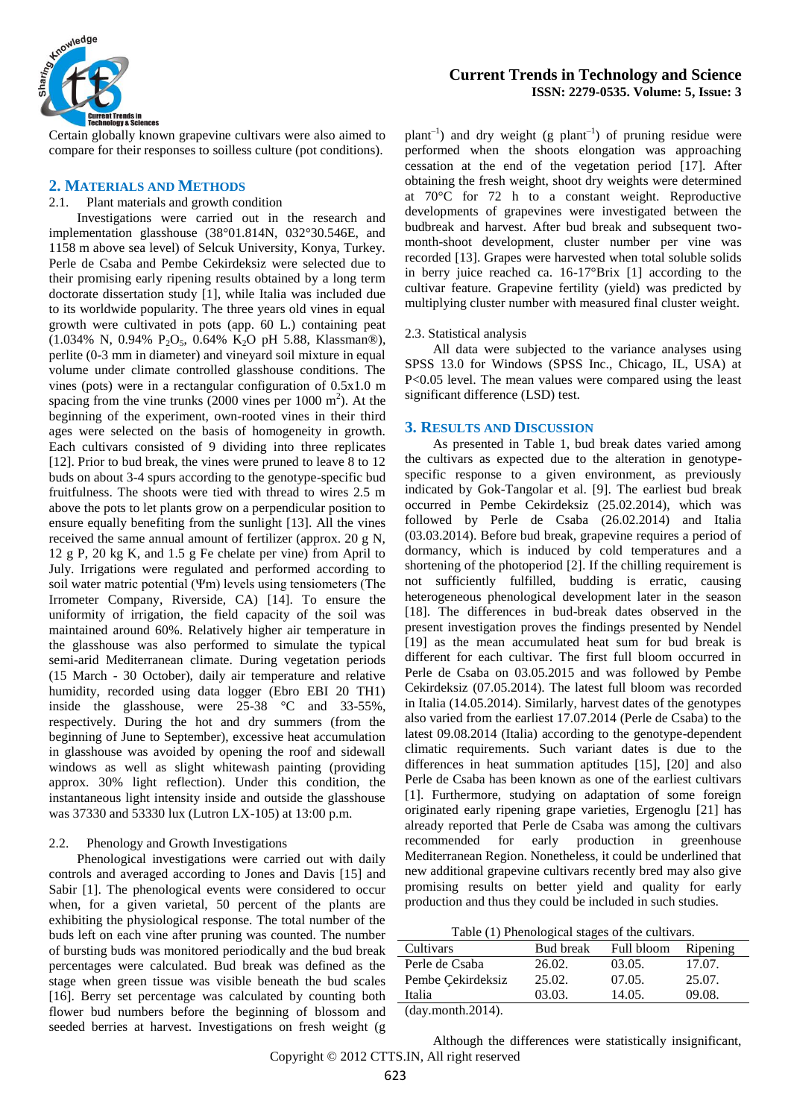

Certain globally known grapevine cultivars were also aimed to compare for their responses to soilless culture (pot conditions).

# **2. MATERIALS AND METHODS**

#### 2.1. Plant materials and growth condition

Investigations were carried out in the research and implementation glasshouse (38°01.814N, 032°30.546E, and 1158 m above sea level) of Selcuk University, Konya, Turkey. Perle de Csaba and Pembe Cekirdeksiz were selected due to their promising early ripening results obtained by a long term doctorate dissertation study [1], while Italia was included due to its worldwide popularity. The three years old vines in equal growth were cultivated in pots (app. 60 L.) containing peat (1.034% N, 0.94% P<sub>2</sub>O<sub>5</sub>, 0.64% K<sub>2</sub>O pH 5.88, Klassman®), perlite (0-3 mm in diameter) and vineyard soil mixture in equal volume under climate controlled glasshouse conditions. The vines (pots) were in a rectangular configuration of 0.5x1.0 m spacing from the vine trunks  $(2000 \text{ vines per } 1000 \text{ m}^2)$ . At the beginning of the experiment, own-rooted vines in their third ages were selected on the basis of homogeneity in growth. Each cultivars consisted of 9 dividing into three replicates [12]. Prior to bud break, the vines were pruned to leave 8 to 12 buds on about 3-4 spurs according to the genotype-specific bud fruitfulness. The shoots were tied with thread to wires 2.5 m above the pots to let plants grow on a perpendicular position to ensure equally benefiting from the sunlight [13]. All the vines received the same annual amount of fertilizer (approx. 20 g N, 12 g P, 20 kg K, and 1.5 g Fe chelate per vine) from April to July. Irrigations were regulated and performed according to soil water matric potential (Ψm) levels using tensiometers (The Irrometer Company, Riverside, CA) [14]. To ensure the uniformity of irrigation, the field capacity of the soil was maintained around 60%. Relatively higher air temperature in the glasshouse was also performed to simulate the typical semi-arid Mediterranean climate. During vegetation periods (15 March - 30 October), daily air temperature and relative humidity, recorded using data logger (Ebro EBI 20 TH1) inside the glasshouse, were 25-38 °C and 33-55%, respectively. During the hot and dry summers (from the beginning of June to September), excessive heat accumulation in glasshouse was avoided by opening the roof and sidewall windows as well as slight whitewash painting (providing approx. 30% light reflection). Under this condition, the instantaneous light intensity inside and outside the glasshouse was 37330 and 53330 lux (Lutron LX-105) at 13:00 p.m.

#### 2.2. Phenology and Growth Investigations

Phenological investigations were carried out with daily controls and averaged according to Jones and Davis [15] and Sabir [1]. The phenological events were considered to occur when, for a given varietal, 50 percent of the plants are exhibiting the physiological response. The total number of the buds left on each vine after pruning was counted. The number of bursting buds was monitored periodically and the bud break percentages were calculated. Bud break was defined as the stage when green tissue was visible beneath the bud scales [16]. Berry set percentage was calculated by counting both flower bud numbers before the beginning of blossom and seeded berries at harvest. Investigations on fresh weight (g

# **Current Trends in Technology and Science ISSN: 2279-0535. Volume: 5, Issue: 3**

 $plant^{-1}$ ) and dry weight (g  $plant^{-1}$ ) of pruning residue were performed when the shoots elongation was approaching cessation at the end of the vegetation period [17]. After obtaining the fresh weight, shoot dry weights were determined at 70°C for 72 h to a constant weight. Reproductive developments of grapevines were investigated between the budbreak and harvest. After bud break and subsequent twomonth-shoot development, cluster number per vine was recorded [13]. Grapes were harvested when total soluble solids in berry juice reached ca. 16-17°Brix [1] according to the cultivar feature. Grapevine fertility (yield) was predicted by multiplying cluster number with measured final cluster weight.

#### 2.3. Statistical analysis

All data were subjected to the variance analyses using SPSS 13.0 for Windows (SPSS Inc., Chicago, IL, USA) at P<0.05 level. The mean values were compared using the least significant difference (LSD) test.

## **3. RESULTS AND DISCUSSION**

As presented in Table 1, bud break dates varied among the cultivars as expected due to the alteration in genotypespecific response to a given environment, as previously indicated by Gok-Tangolar et al. [9]. The earliest bud break occurred in Pembe Cekirdeksiz (25.02.2014), which was followed by Perle de Csaba (26.02.2014) and Italia (03.03.2014). Before bud break, grapevine requires a period of dormancy, which is induced by cold temperatures and a shortening of the photoperiod [2]. If the chilling requirement is not sufficiently fulfilled, budding is erratic, causing heterogeneous phenological development later in the season [18]. The differences in bud-break dates observed in the present investigation proves the findings presented by Nendel [19] as the mean accumulated heat sum for bud break is different for each cultivar. The first full bloom occurred in Perle de Csaba on 03.05.2015 and was followed by Pembe Cekirdeksiz (07.05.2014). The latest full bloom was recorded in Italia (14.05.2014). Similarly, harvest dates of the genotypes also varied from the earliest 17.07.2014 (Perle de Csaba) to the latest 09.08.2014 (Italia) according to the genotype-dependent climatic requirements. Such variant dates is due to the differences in heat summation aptitudes [15], [20] and also Perle de Csaba has been known as one of the earliest cultivars [1]. Furthermore, studying on adaptation of some foreign originated early ripening grape varieties, Ergenoglu [21] has already reported that Perle de Csaba was among the cultivars recommended for early production in greenhouse Mediterranean Region. Nonetheless, it could be underlined that new additional grapevine cultivars recently bred may also give promising results on better yield and quality for early production and thus they could be included in such studies.

Table (1) Phenological stages of the cultivars.

| 26.02.<br>03.05. |                  |
|------------------|------------------|
|                  | 17.07.           |
| 07.05.           | 25.07.           |
| 14.05.           | 09.08.           |
|                  | 25.02.<br>03.03. |

(day.month.2014).

Copyright © 2012 CTTS.IN, All right reserved Although the differences were statistically insignificant,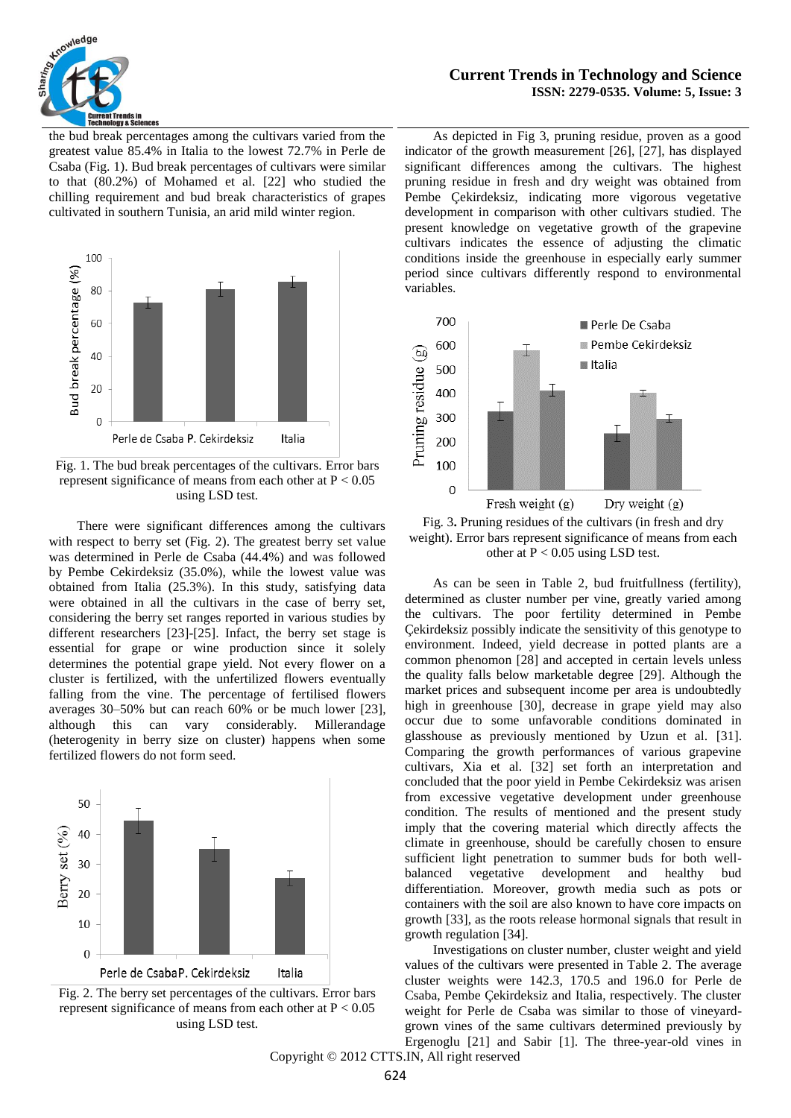

**Current Trends in Technology and Science ISSN: 2279-0535. Volume: 5, Issue: 3**

the bud break percentages among the cultivars varied from the greatest value 85.4% in Italia to the lowest 72.7% in Perle de Csaba (Fig. 1). Bud break percentages of cultivars were similar to that (80.2%) of Mohamed et al. [22] who studied the chilling requirement and bud break characteristics of grapes cultivated in southern Tunisia, an arid mild winter region.



Fig. 1. The bud break percentages of the cultivars. Error bars represent significance of means from each other at  $P < 0.05$ using LSD test.

There were significant differences among the cultivars with respect to berry set (Fig. 2). The greatest berry set value was determined in Perle de Csaba (44.4%) and was followed by Pembe Cekirdeksiz (35.0%), while the lowest value was obtained from Italia (25.3%). In this study, satisfying data were obtained in all the cultivars in the case of berry set, considering the berry set ranges reported in various studies by different researchers [23]-[25]. Infact, the berry set stage is essential for grape or wine production since it solely determines the potential grape yield. Not every flower on a cluster is fertilized, with the unfertilized flowers eventually falling from the vine. The percentage of fertilised flowers averages 30–50% but can reach 60% or be much lower [23], although this can vary considerably. Millerandage (heterogenity in berry size on cluster) happens when some fertilized flowers do not form seed.





As depicted in Fig 3, pruning residue, proven as a good indicator of the growth measurement [26], [27], has displayed significant differences among the cultivars. The highest pruning residue in fresh and dry weight was obtained from Pembe Çekirdeksiz, indicating more vigorous vegetative development in comparison with other cultivars studied. The present knowledge on vegetative growth of the grapevine cultivars indicates the essence of adjusting the climatic conditions inside the greenhouse in especially early summer period since cultivars differently respond to environmental variables.



Fig. 3**.** Pruning residues of the cultivars (in fresh and dry weight). Error bars represent significance of means from each other at  $P < 0.05$  using LSD test.

As can be seen in Table 2, bud fruitfullness (fertility), determined as cluster number per vine, greatly varied among the cultivars. The poor fertility determined in Pembe Çekirdeksiz possibly indicate the sensitivity of this genotype to environment. Indeed, yield decrease in potted plants are a common phenomon [28] and accepted in certain levels unless the quality falls below marketable degree [29]. Although the market prices and subsequent income per area is undoubtedly high in greenhouse [30], decrease in grape yield may also occur due to some unfavorable conditions dominated in glasshouse as previously mentioned by Uzun et al. [31]. Comparing the growth performances of various grapevine cultivars, Xia et al. [32] set forth an interpretation and concluded that the poor yield in Pembe Cekirdeksiz was arisen from excessive vegetative development under greenhouse condition. The results of mentioned and the present study imply that the covering material which directly affects the climate in greenhouse, should be carefully chosen to ensure sufficient light penetration to summer buds for both wellbalanced vegetative development and healthy bud differentiation. Moreover, growth media such as pots or containers with the soil are also known to have core impacts on growth [33], as the roots release hormonal signals that result in growth regulation [34].

Investigations on cluster number, cluster weight and yield values of the cultivars were presented in Table 2. The average cluster weights were 142.3, 170.5 and 196.0 for Perle de Csaba, Pembe Çekirdeksiz and Italia, respectively. The cluster weight for Perle de Csaba was similar to those of vineyardgrown vines of the same cultivars determined previously by Ergenoglu [21] and Sabir [1]. The three-year-old vines in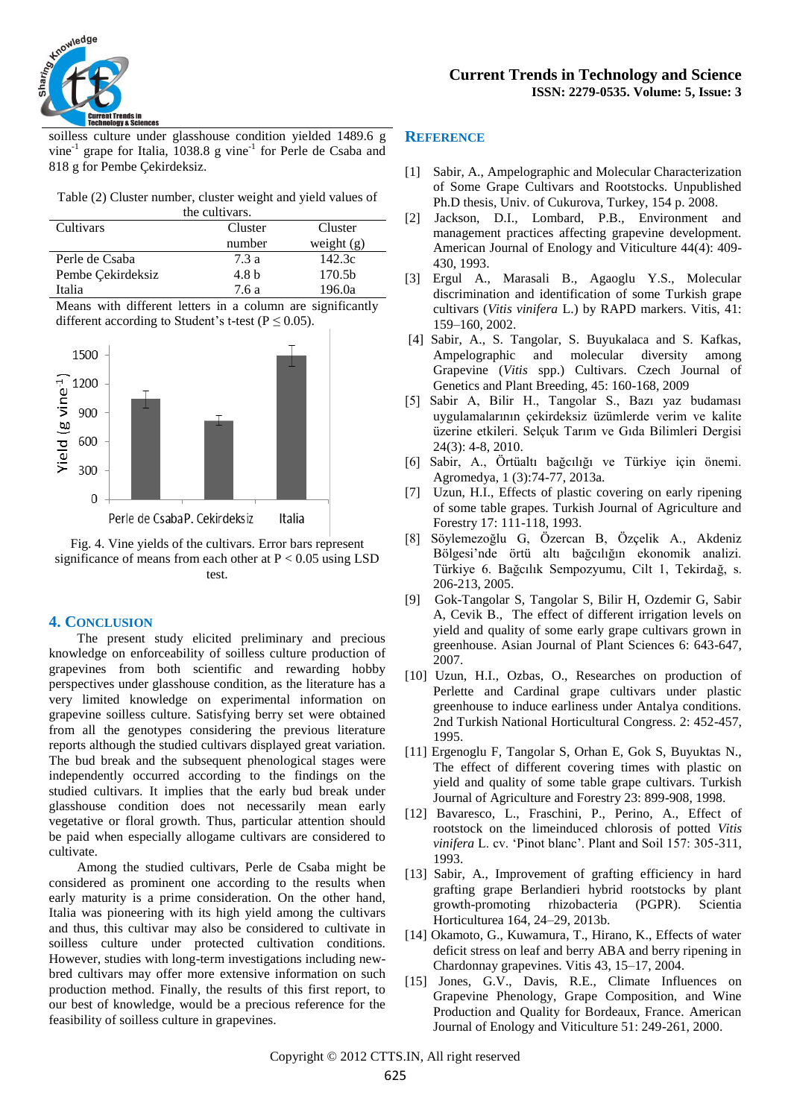

soilless culture under glasshouse condition yielded 1489.6 g vine<sup>-1</sup> grape for Italia, 1038.8 g vine<sup>-1</sup> for Perle de Csaba and 818 g for Pembe Çekirdeksiz.

Table (2) Cluster number, cluster weight and yield values of the cultivars.

| uic cuitrais.     |         |                    |
|-------------------|---------|--------------------|
| Cultivars         | Cluster | Cluster            |
|                   | number  | weight $(g)$       |
| Perle de Csaba    | 7.3a    | 142.3c             |
| Pembe Çekirdeksiz | 4.8 b   | 170.5 <sub>b</sub> |
| Italia            | 7.6 a   | 196.0a             |

Means with different letters in a column are significantly different according to Student's t-test ( $P \le 0.05$ ).



Fig. 4. Vine yields of the cultivars. Error bars represent significance of means from each other at  $P < 0.05$  using LSD test.

# **4. CONCLUSION**

The present study elicited preliminary and precious knowledge on enforceability of soilless culture production of grapevines from both scientific and rewarding hobby perspectives under glasshouse condition, as the literature has a very limited knowledge on experimental information on grapevine soilless culture. Satisfying berry set were obtained from all the genotypes considering the previous literature reports although the studied cultivars displayed great variation. The bud break and the subsequent phenological stages were independently occurred according to the findings on the studied cultivars. It implies that the early bud break under glasshouse condition does not necessarily mean early vegetative or floral growth. Thus, particular attention should be paid when especially allogame cultivars are considered to cultivate.

Among the studied cultivars, Perle de Csaba might be considered as prominent one according to the results when early maturity is a prime consideration. On the other hand, Italia was pioneering with its high yield among the cultivars and thus, this cultivar may also be considered to cultivate in soilless culture under protected cultivation conditions. However, studies with long-term investigations including newbred cultivars may offer more extensive information on such production method. Finally, the results of this first report, to our best of knowledge, would be a precious reference for the feasibility of soilless culture in grapevines.

# **REFERENCE**

- [1] Sabir, A., Ampelographic and Molecular Characterization of Some Grape Cultivars and Rootstocks. Unpublished Ph.D thesis, Univ. of Cukurova, Turkey, 154 p. 2008.
- [2] Jackson, D.I., Lombard, P.B., Environment and management practices affecting grapevine development. American Journal of Enology and Viticulture 44(4): 409- 430, 1993.
- [3] Ergul A., Marasali B., Agaoglu Y.S., Molecular discrimination and identification of some Turkish grape cultivars (*Vitis vinifera* L.) by RAPD markers. Vitis, 41: 159–160, 2002.
- [4] Sabir, A., S. Tangolar, S. Buyukalaca and S. Kafkas, Ampelographic and molecular diversity among Grapevine (*Vitis* spp.) Cultivars. Czech Journal of Genetics and Plant Breeding, 45: 160-168, 2009
- [5] Sabir A, Bilir H., Tangolar S., Bazı yaz budaması uygulamalarının çekirdeksiz üzümlerde verim ve kalite üzerine etkileri. Selçuk Tarım ve Gıda Bilimleri Dergisi 24(3): 4-8, 2010.
- [6] Sabir, A., Örtüaltı bağcılığı ve Türkiye için önemi. Agromedya, 1 (3):74-77, 2013a.
- [7] Uzun, H.I., Effects of plastic covering on early ripening of some table grapes. Turkish Journal of Agriculture and Forestry 17: 111-118, 1993.
- [8] Söylemezoğlu G, Özercan B, Özçelik A., Akdeniz Bölgesi'nde örtü altı bağcılığın ekonomik analizi. Türkiye 6. Bağcılık Sempozyumu, Cilt 1, Tekirdağ, s. 206-213, 2005.
- [9] Gok-Tangolar S, Tangolar S, Bilir H, Ozdemir G, Sabir A, Cevik B., The effect of different irrigation levels on yield and quality of some early grape cultivars grown in greenhouse. Asian Journal of Plant Sciences 6: 643-647, 2007.
- [10] Uzun, H.I., Ozbas, O., Researches on production of Perlette and Cardinal grape cultivars under plastic greenhouse to induce earliness under Antalya conditions. 2nd Turkish National Horticultural Congress. 2: 452-457, 1995.
- [11] Ergenoglu F, Tangolar S, Orhan E, Gok S, Buyuktas N., The effect of different covering times with plastic on yield and quality of some table grape cultivars. Turkish Journal of Agriculture and Forestry 23: 899-908, 1998.
- [12] Bavaresco, L., Fraschini, P., Perino, A., Effect of rootstock on the limeinduced chlorosis of potted *Vitis vinifera* L. cv. 'Pinot blanc'. Plant and Soil 157: 305-311, 1993.
- [13] Sabir, A., Improvement of grafting efficiency in hard grafting grape Berlandieri hybrid rootstocks by plant growth-promoting rhizobacteria (PGPR). Scientia Horticulturea 164, 24–29, 2013b.
- [14] Okamoto, G., Kuwamura, T., Hirano, K., Effects of water deficit stress on leaf and berry ABA and berry ripening in Chardonnay grapevines. Vitis 43, 15–17, 2004.
- [15] Jones, G.V., Davis, R.E., Climate Influences on Grapevine Phenology, Grape Composition, and Wine Production and Quality for Bordeaux, France. American Journal of Enology and Viticulture 51: 249-261, 2000.